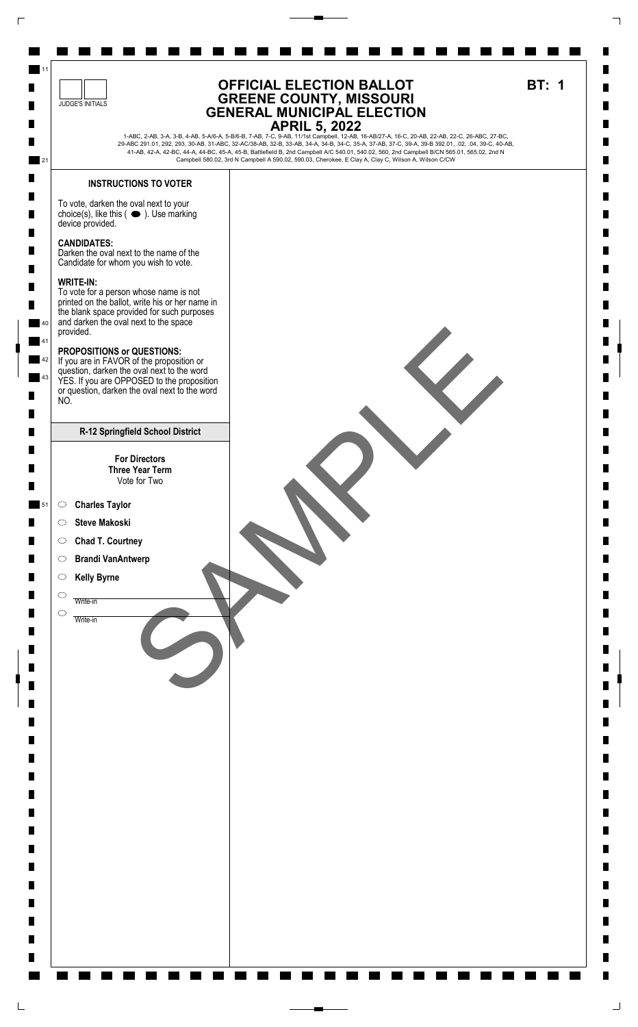

 $\sqcup$ 

 $\sqcup$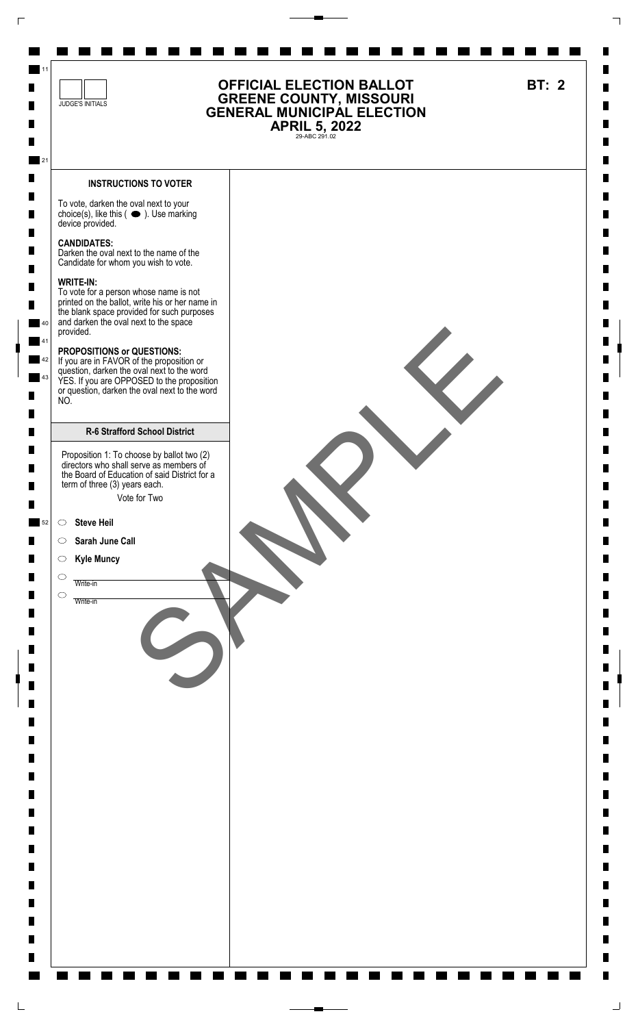

 $\sqcup$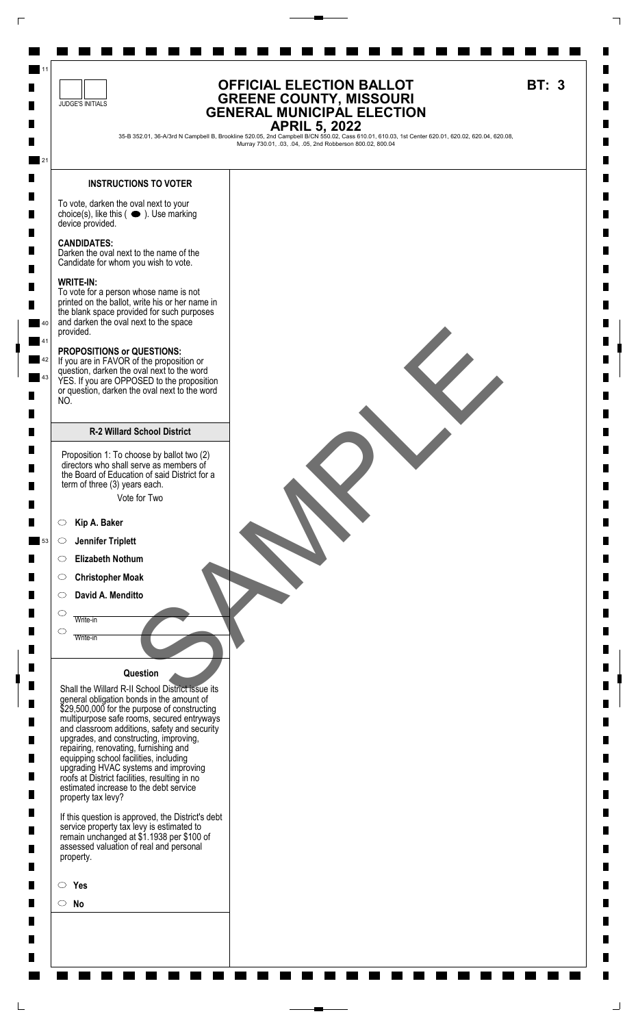

 $\Box$ 

 $\sqcup$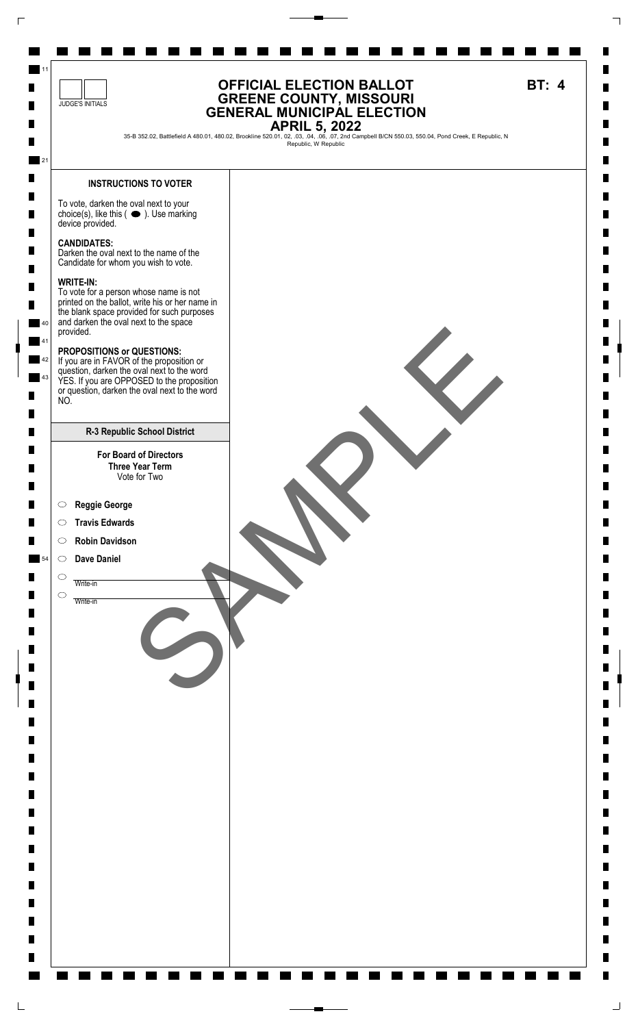

 $\mathrel{\sqsubseteq}$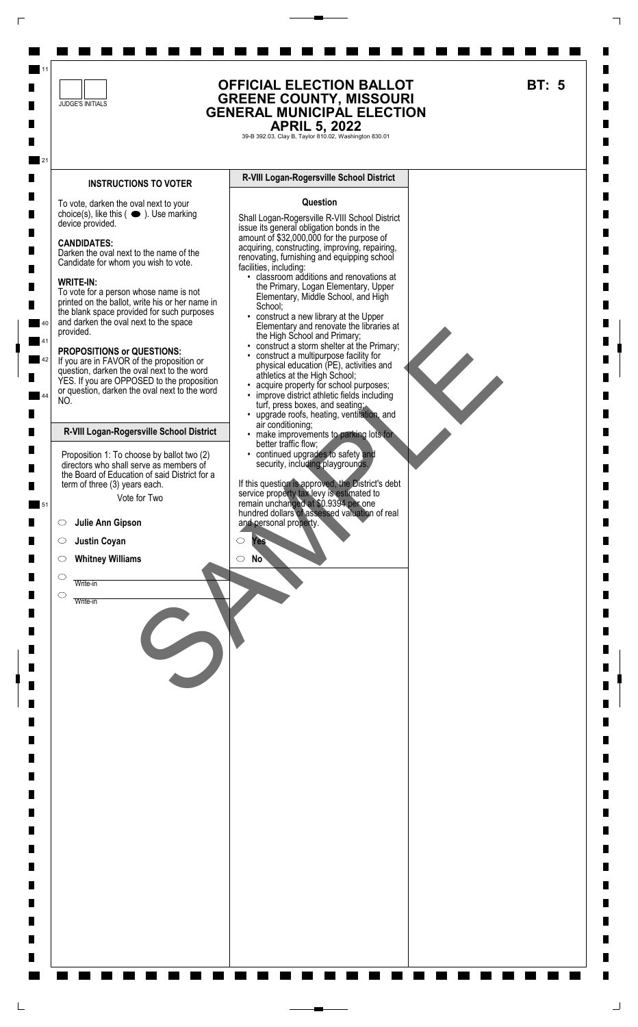

 $\Gamma$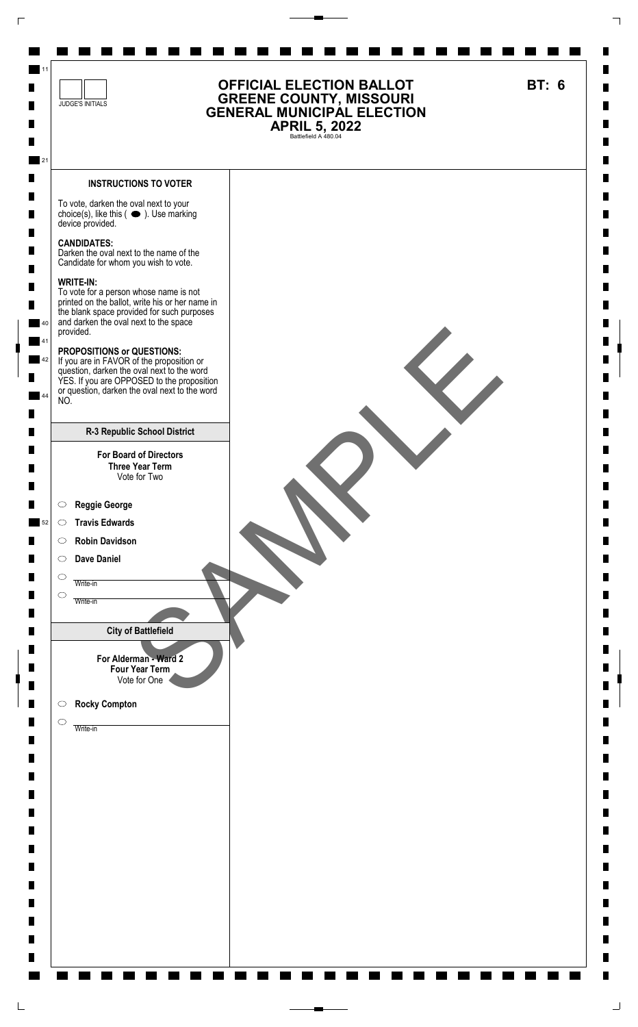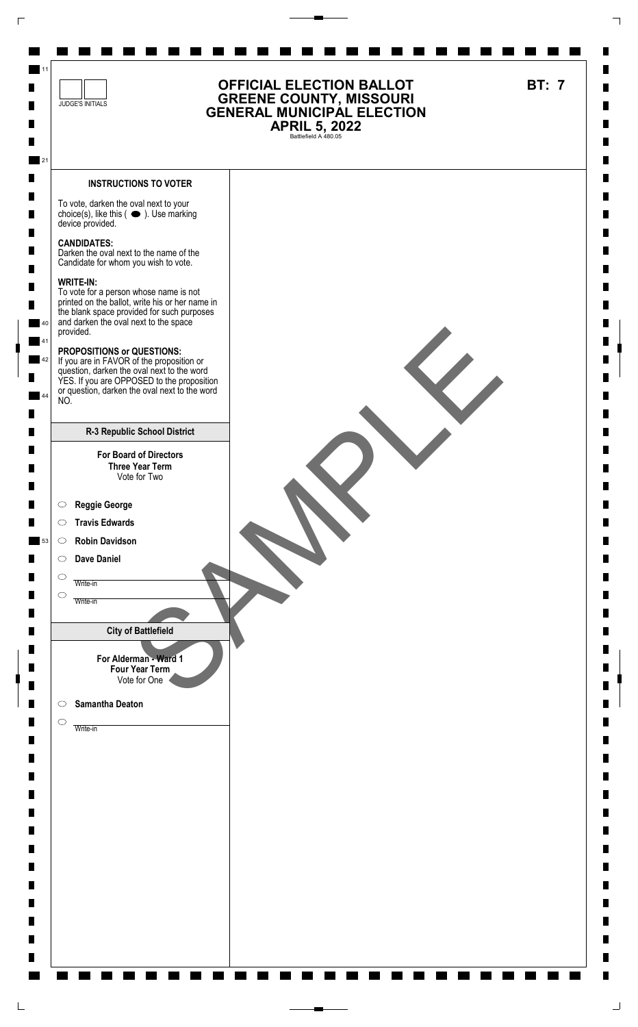

L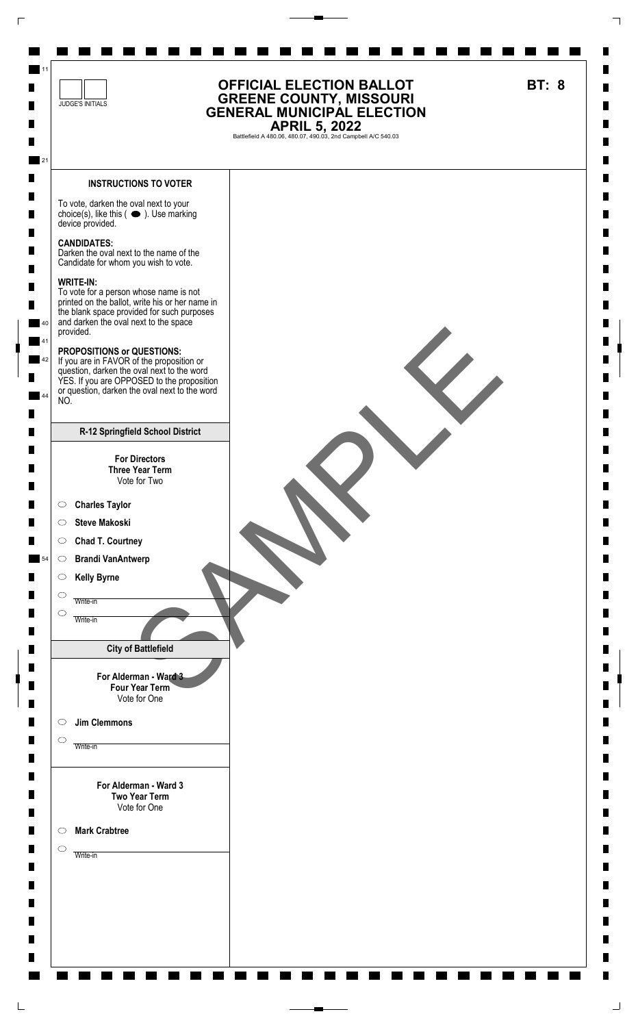

 $\overline{\Gamma}$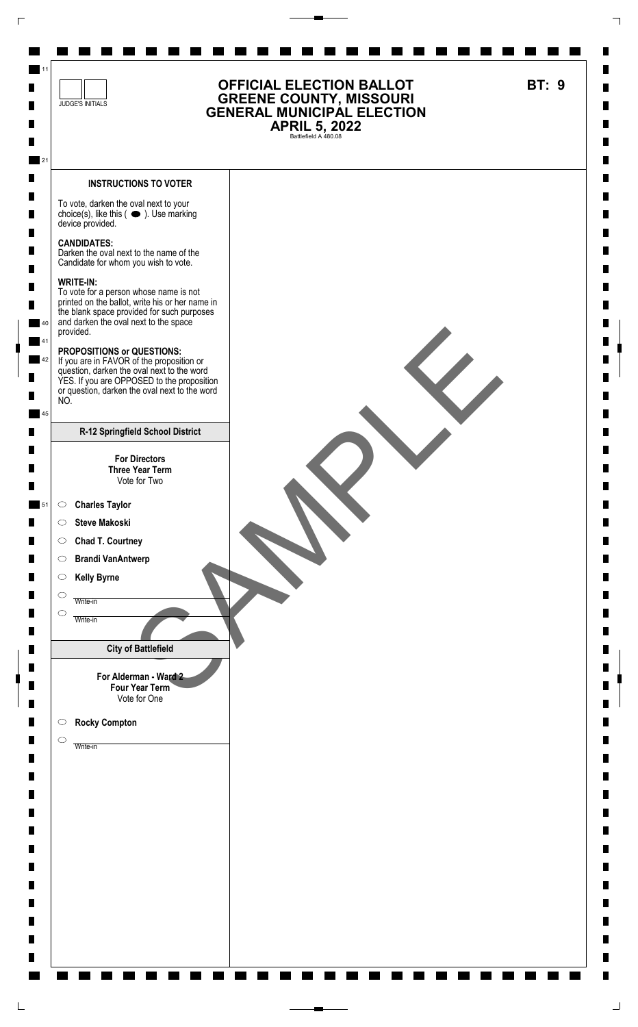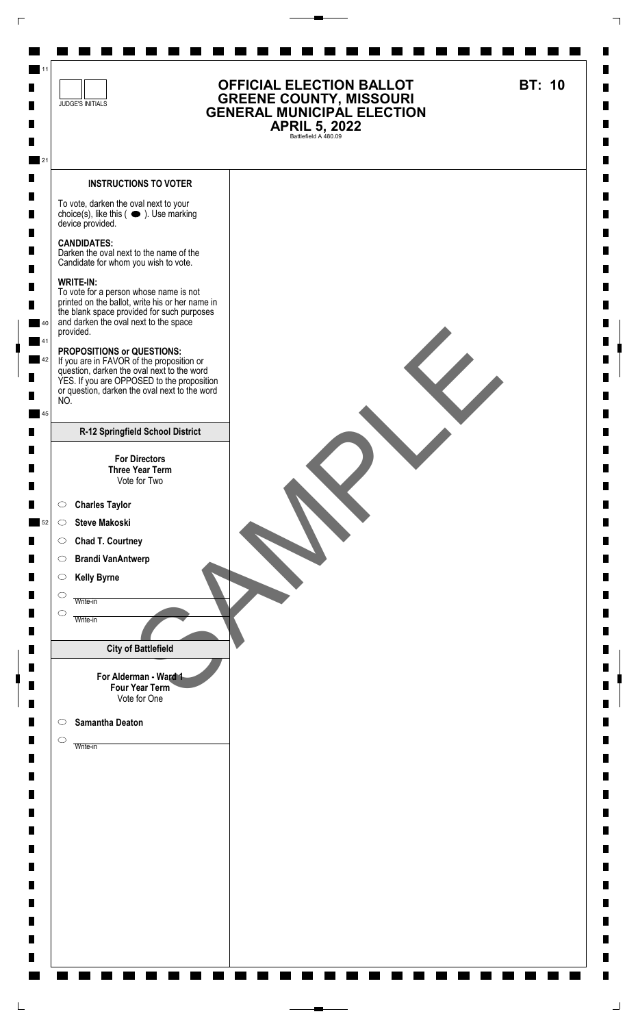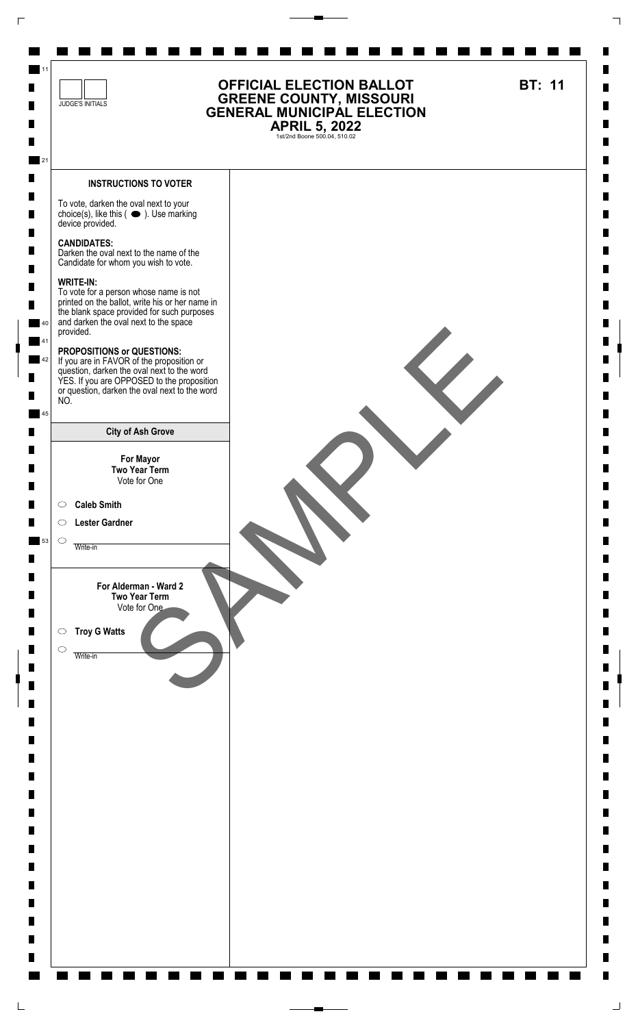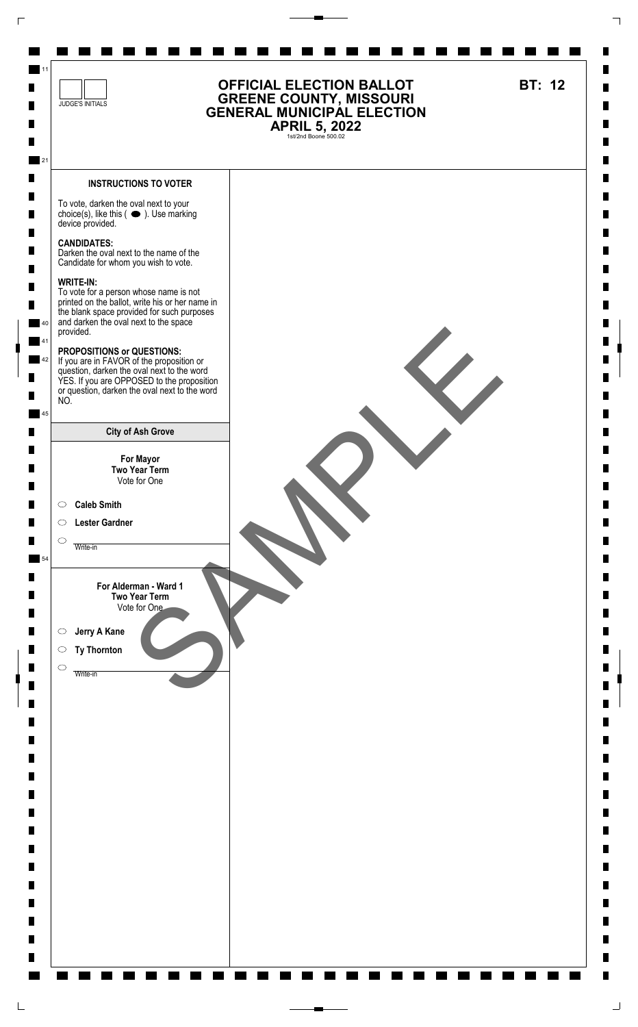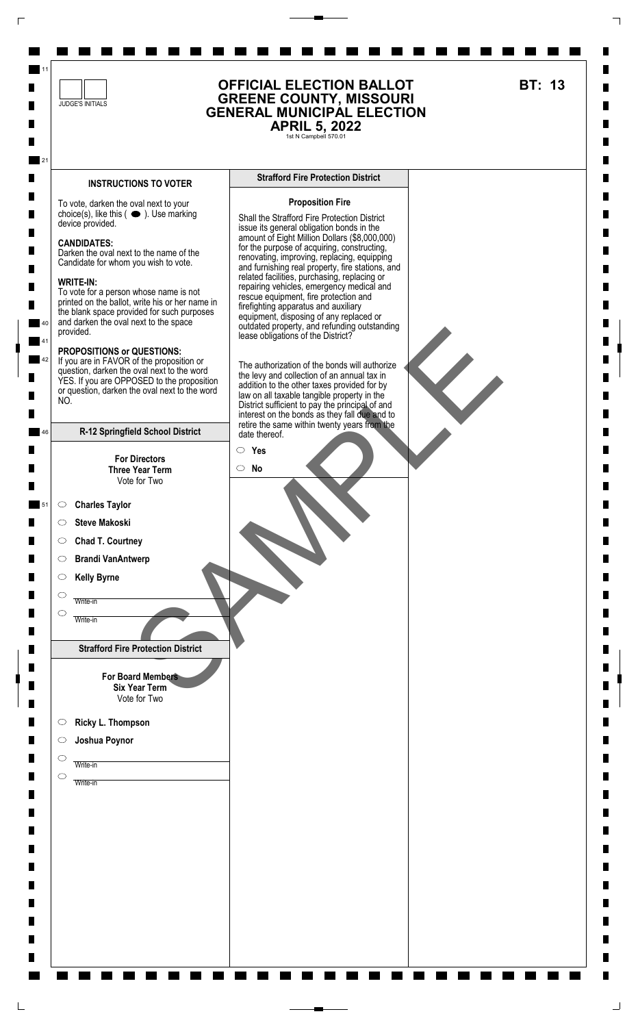

 $\Gamma$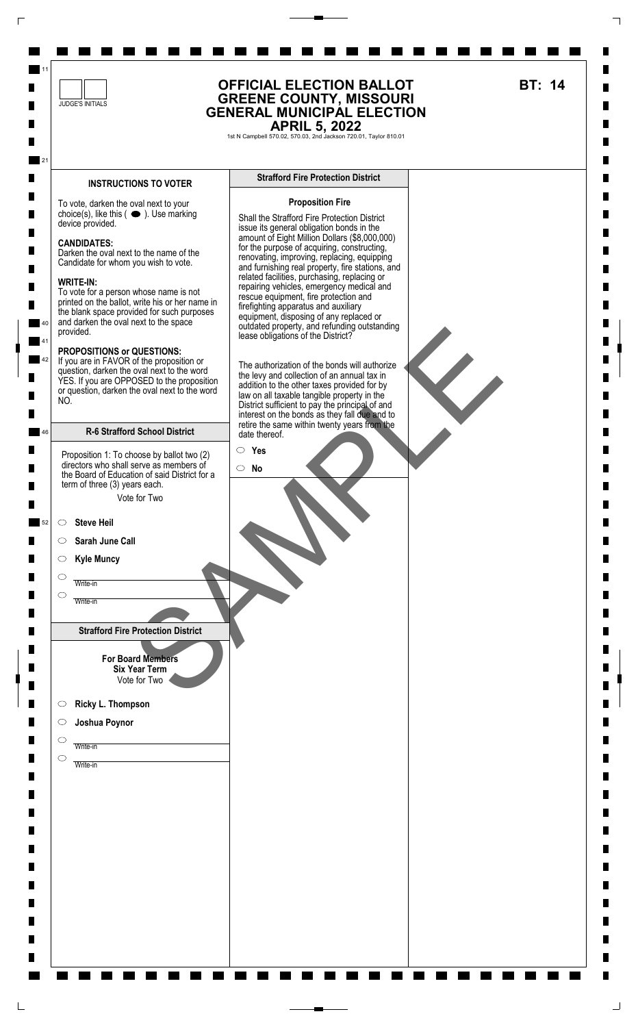

 $\Gamma$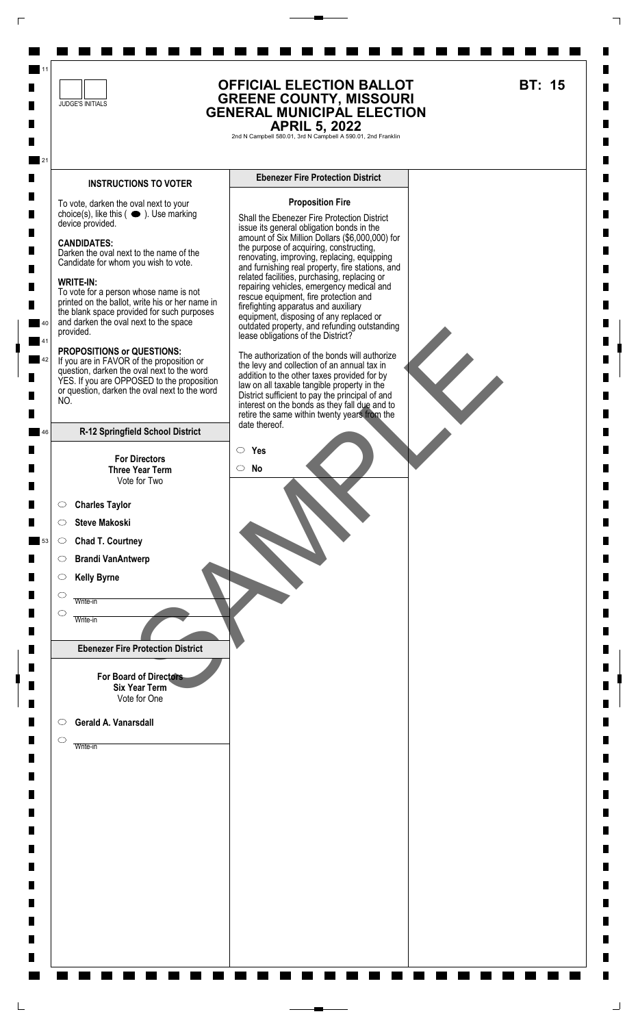

 $\Box$ 

 $\sqcup$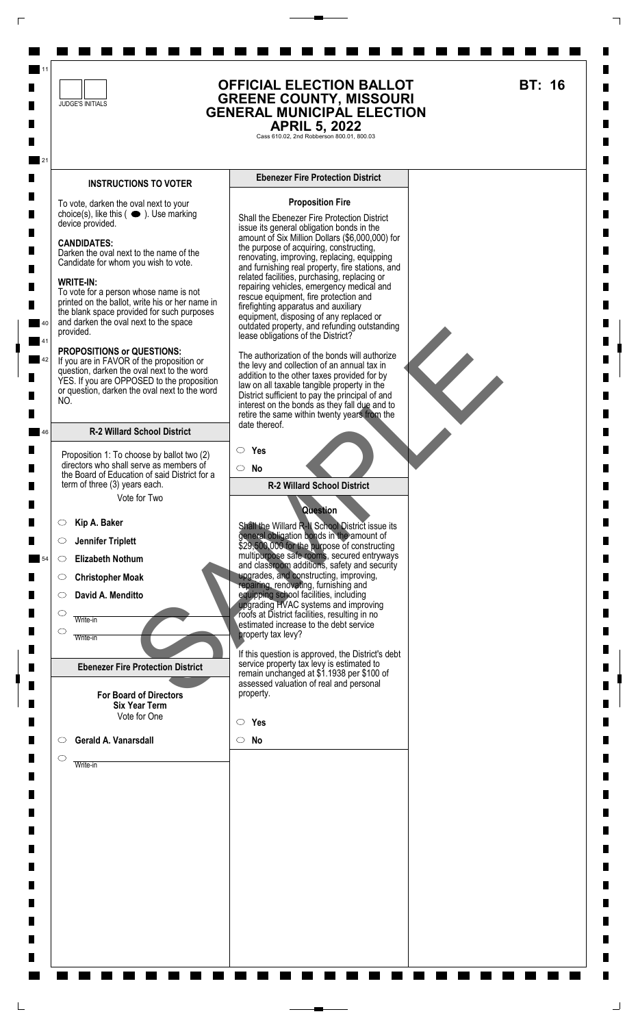

 $\Box$ 

 $\Box$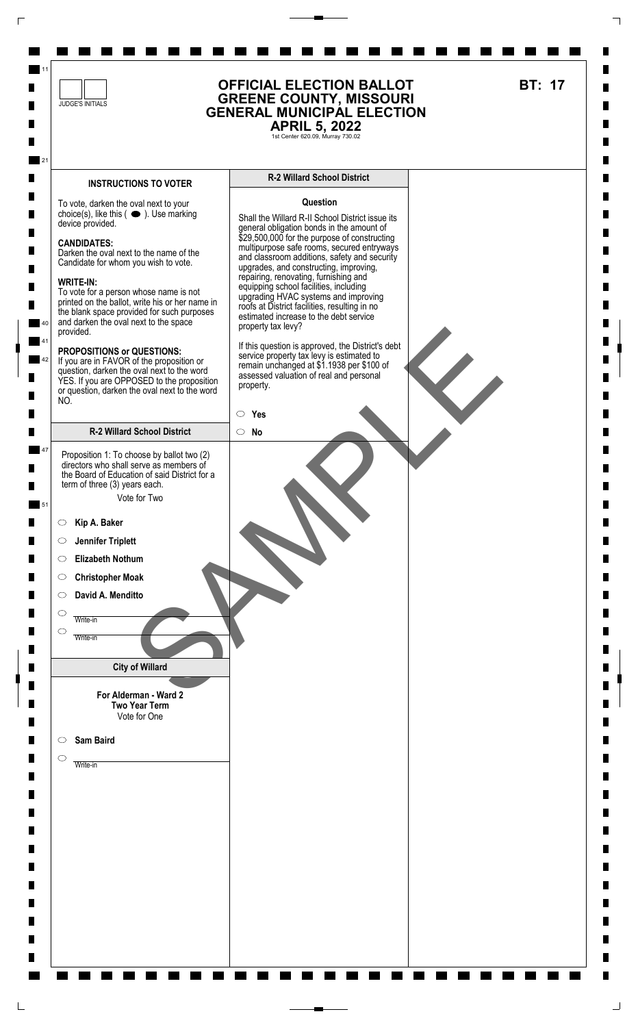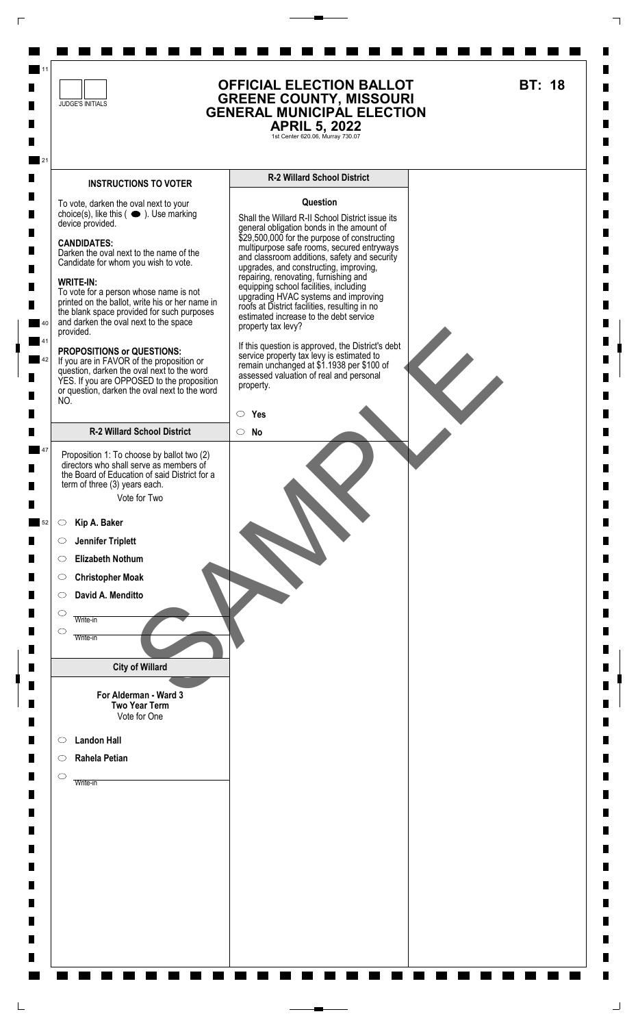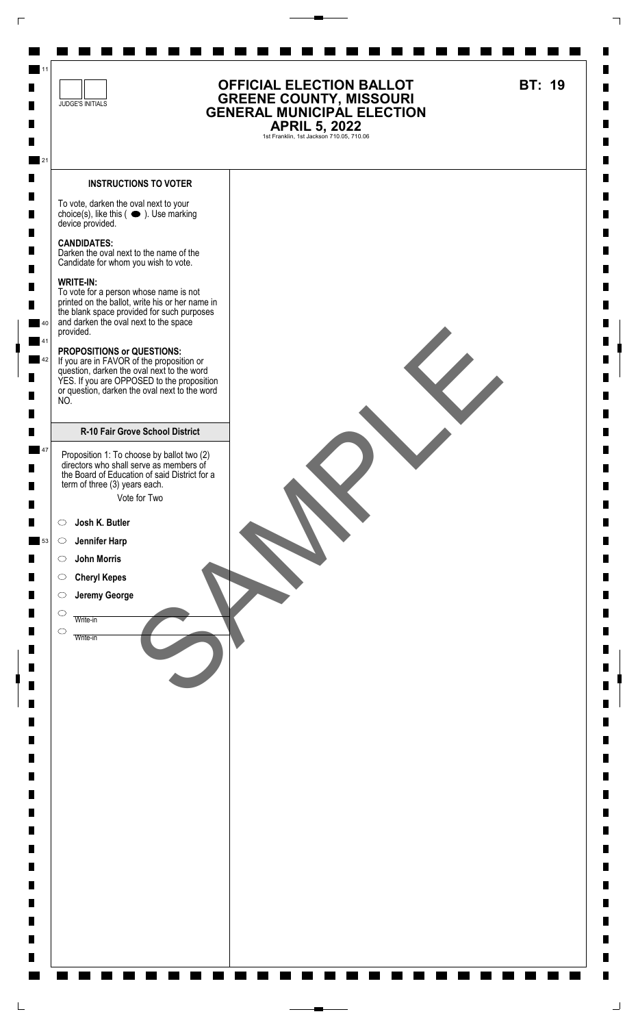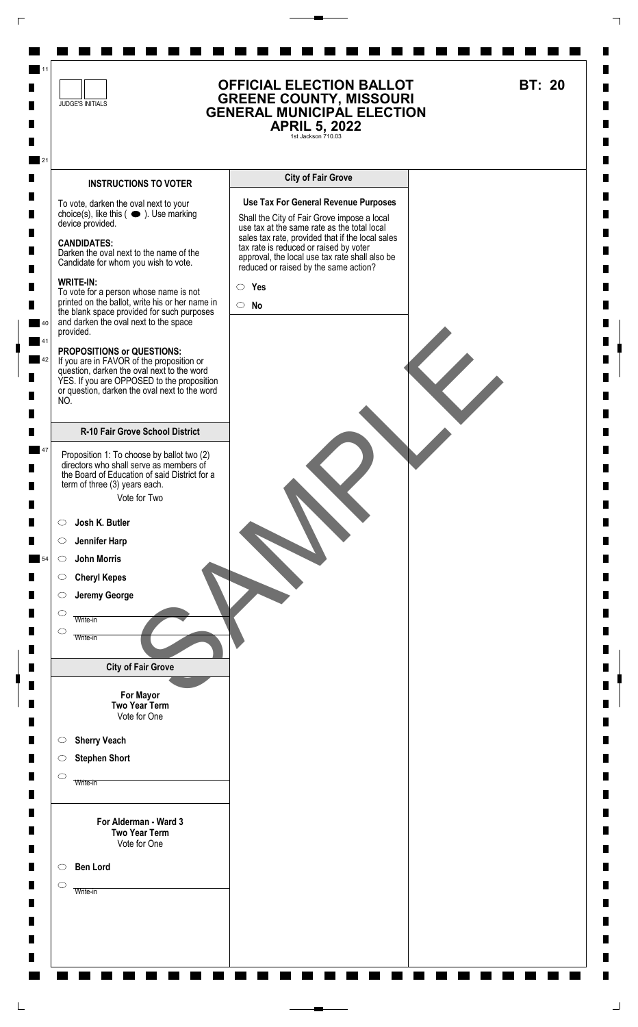

 $\Gamma$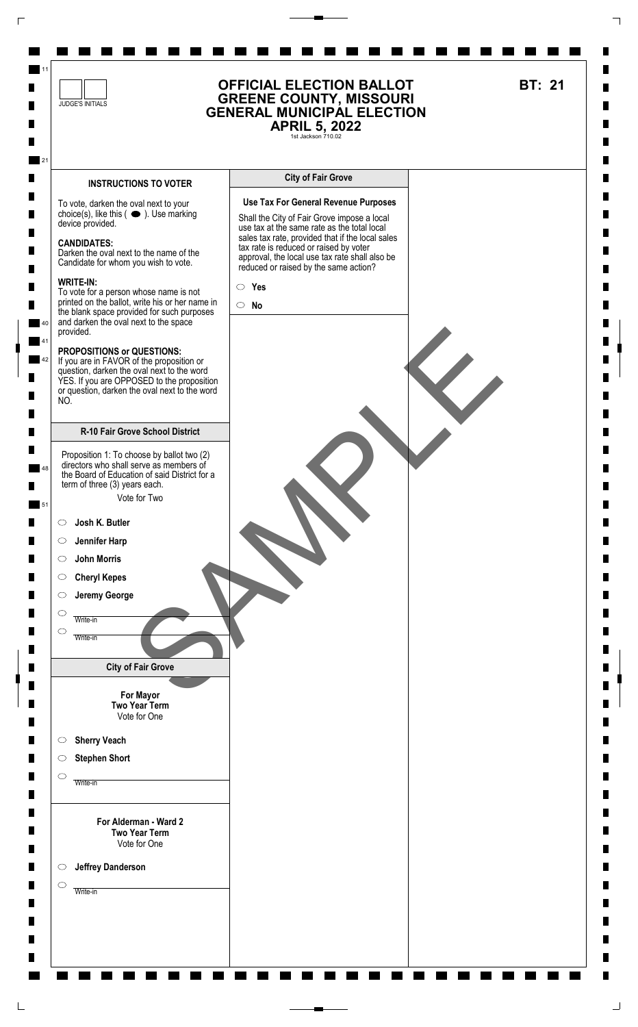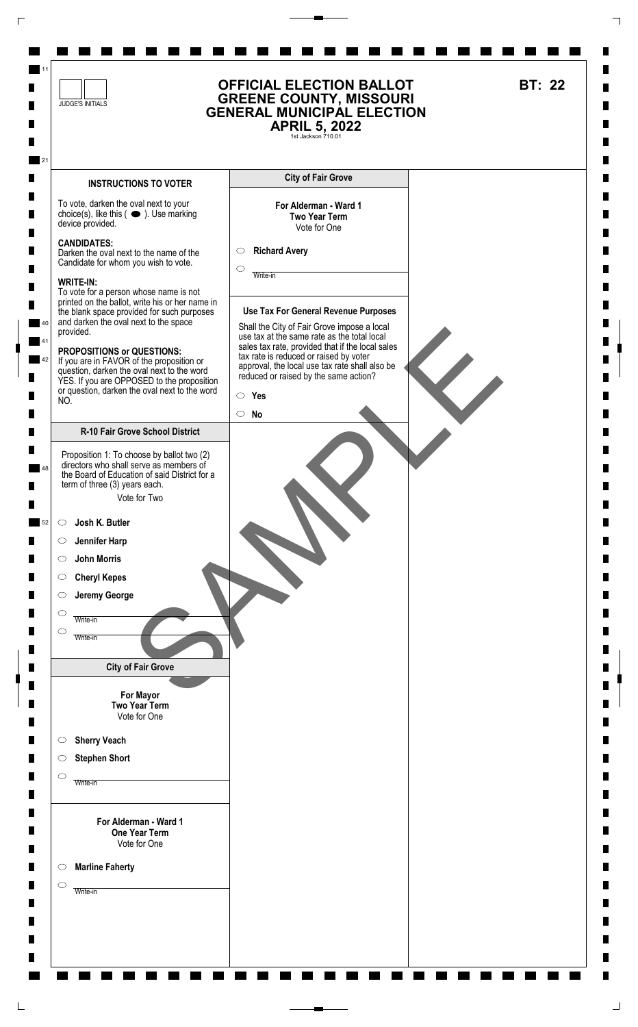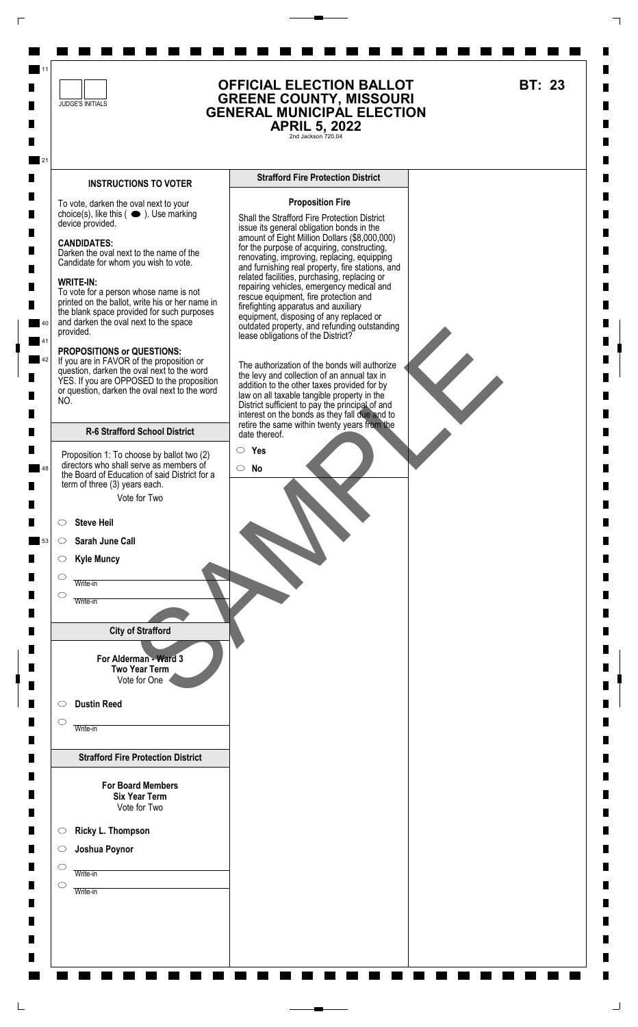

 $\Gamma$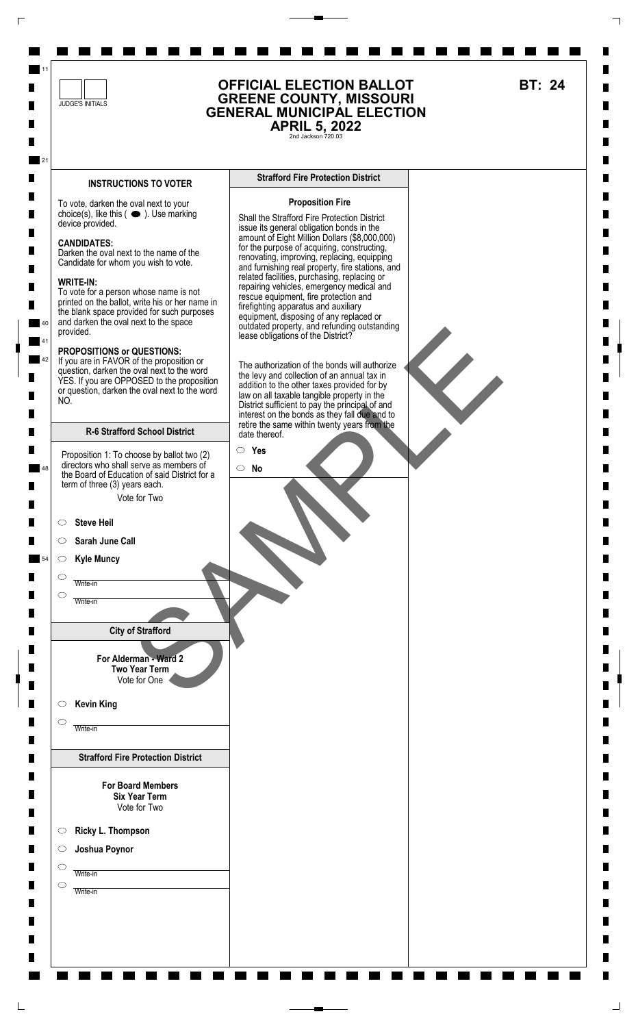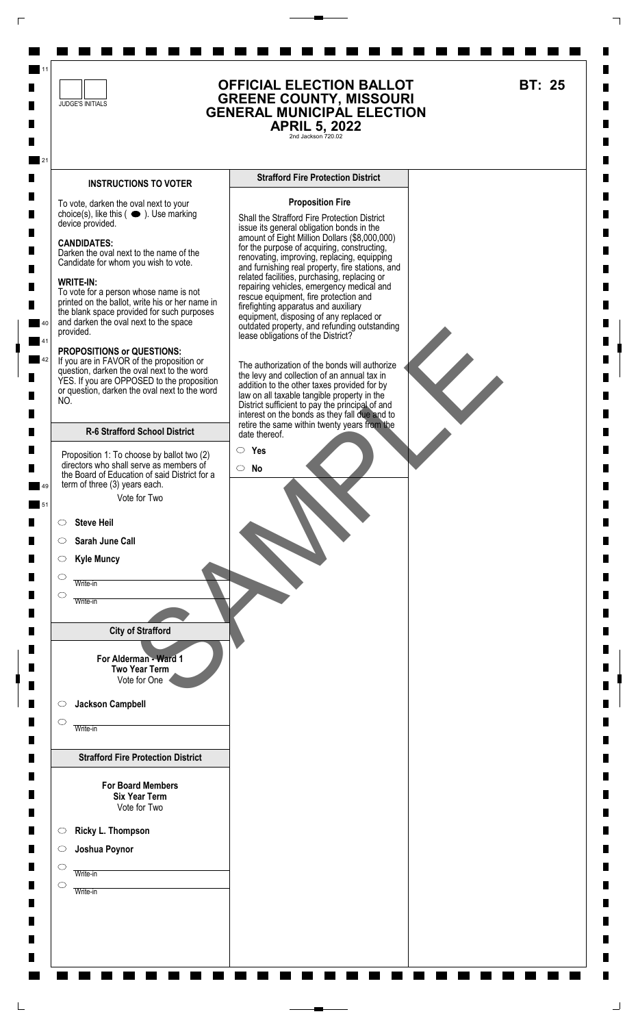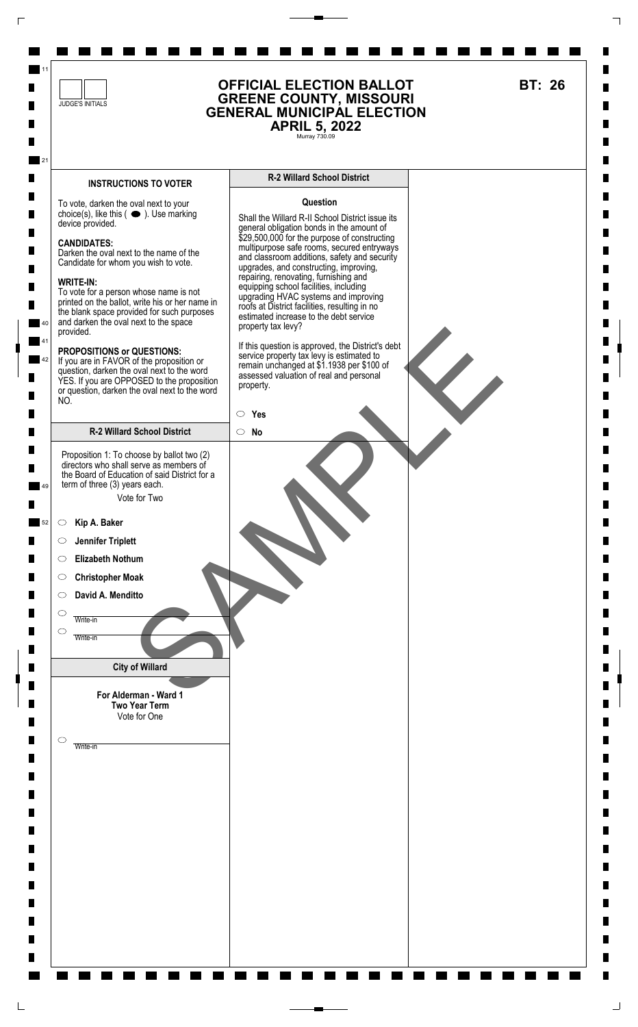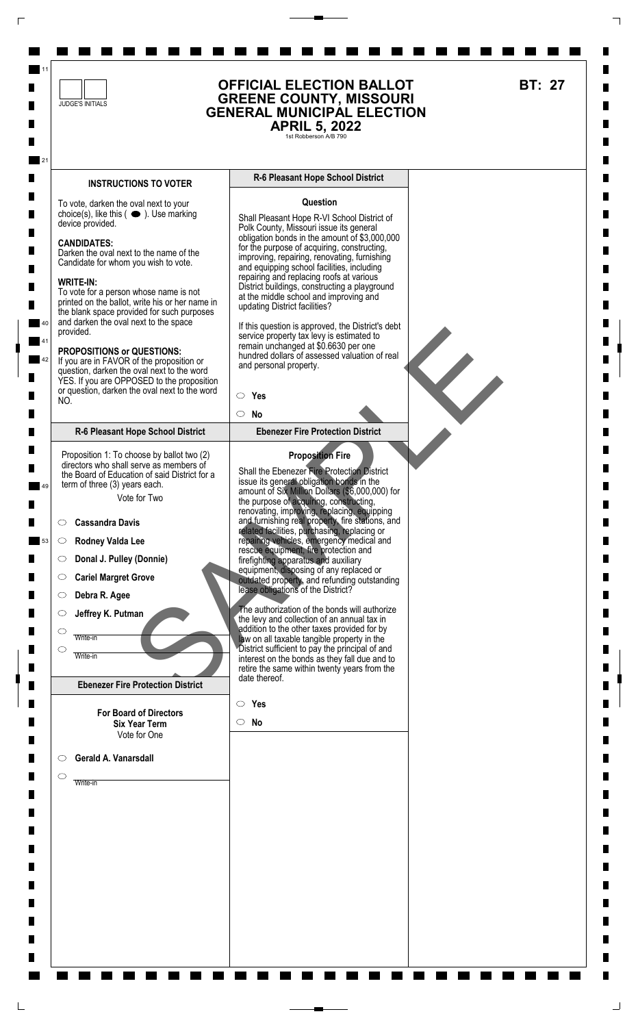![](_page_26_Figure_0.jpeg)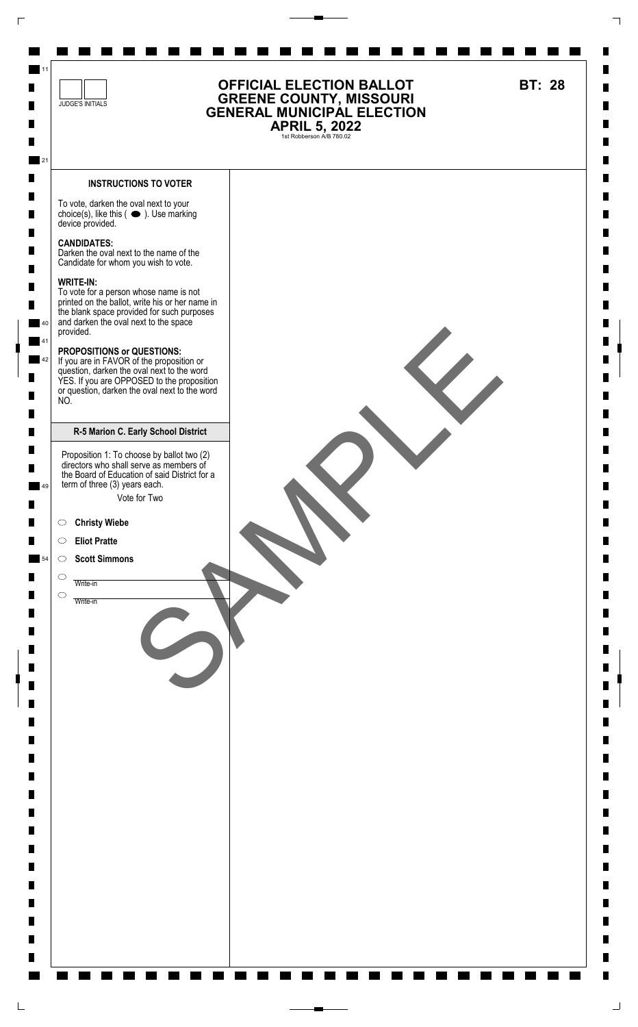![](_page_27_Figure_0.jpeg)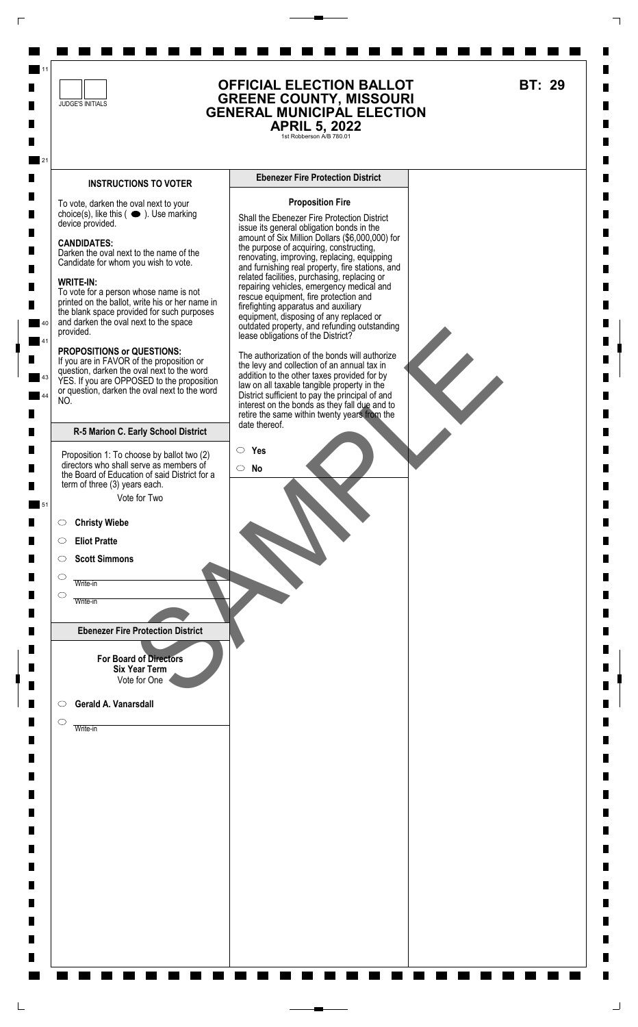![](_page_28_Figure_0.jpeg)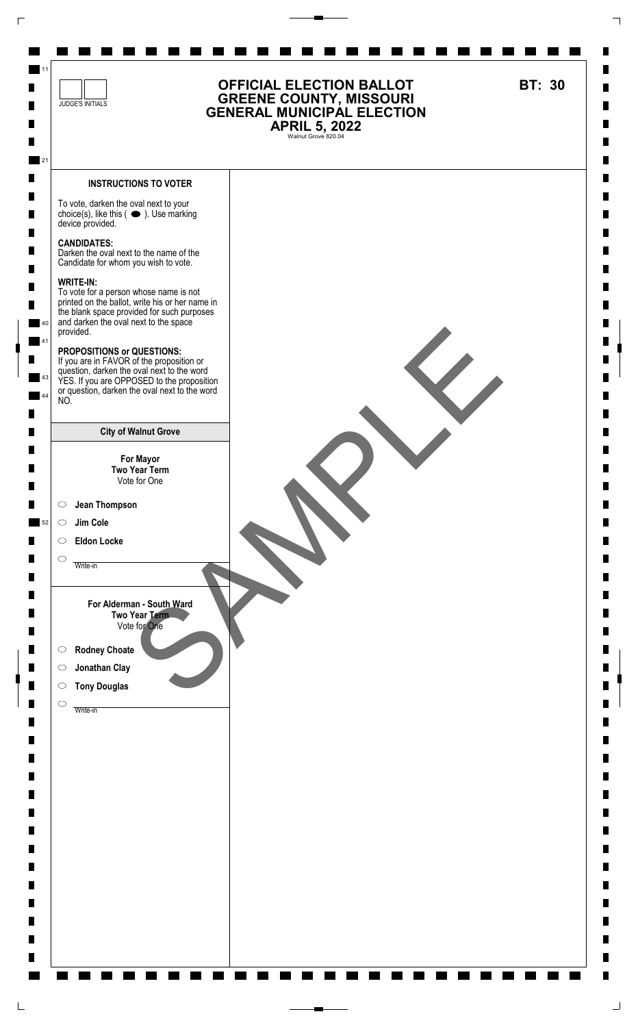![](_page_29_Figure_0.jpeg)

 $\sqcup$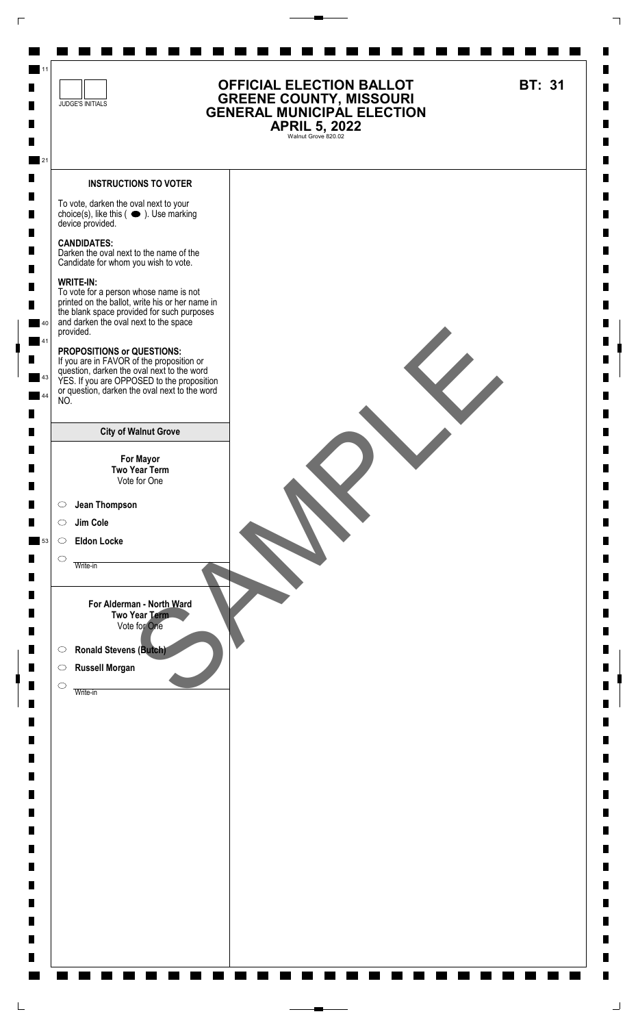![](_page_30_Figure_0.jpeg)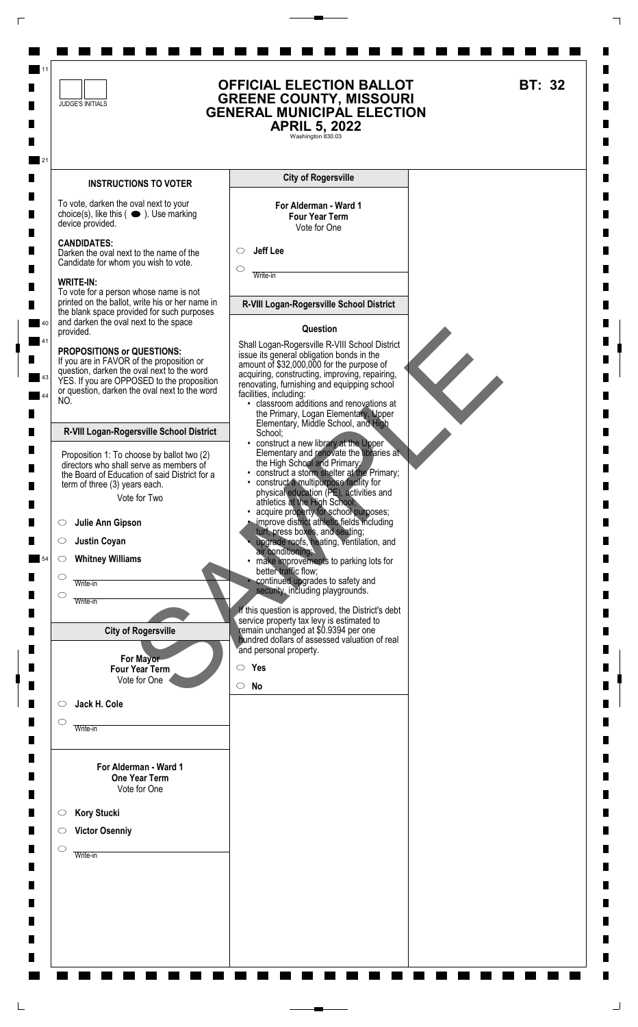![](_page_31_Figure_0.jpeg)